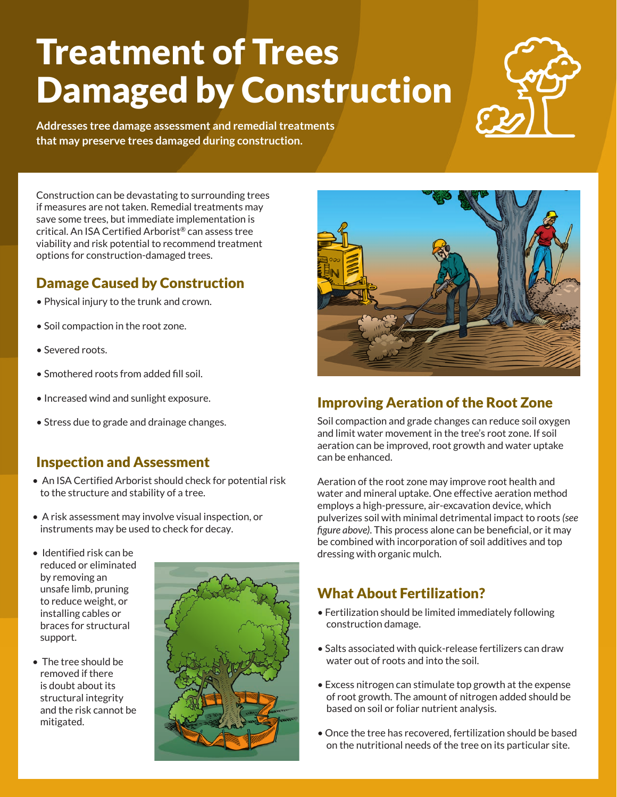# Treatment of Trees Damaged by Construction



**Addresses tree damage assessment and remedial treatments that may preserve trees damaged during construction.**

Construction can be devastating to surrounding trees if measures are not taken. Remedial treatments may save some trees, but immediate implementation is critical. An ISA Certified Arborist® can assess tree viability and risk potential to recommend treatment options for construction-damaged trees.

# Damage Caused by Construction

- Physical injury to the trunk and crown.
- Soil compaction in the root zone.
- Severed roots.
- Smothered roots from added fill soil.
- Increased wind and sunlight exposure.
- Stress due to grade and drainage changes.

## Inspection and Assessment

- An ISA Certified Arborist should check for potential risk to the structure and stability of a tree.
- A risk assessment may involve visual inspection, or instruments may be used to check for decay.
- Identified risk can be reduced or eliminated by removing an unsafe limb, pruning to reduce weight, or installing cables or braces for structural support.
- The tree should be removed if there is doubt about its structural integrity and the risk cannot be mitigated.





# Improving Aeration of the Root Zone

Soil compaction and grade changes can reduce soil oxygen and limit water movement in the tree's root zone. If soil aeration can be improved, root growth and water uptake can be enhanced.

Aeration of the root zone may improve root health and water and mineral uptake. One effective aeration method employs a high-pressure, air-excavation device, which pulverizes soil with minimal detrimental impact to roots *(see figure above)*. This process alone can be beneficial, or it may be combined with incorporation of soil additives and top dressing with organic mulch.

# What About Fertilization?

- Fertilization should be limited immediately following construction damage.
- Salts associated with quick-release fertilizers can draw water out of roots and into the soil.
- Excess nitrogen can stimulate top growth at the expense of root growth. The amount of nitrogen added should be based on soil or foliar nutrient analysis.
- Once the tree has recovered, fertilization should be based on the nutritional needs of the tree on its particular site.